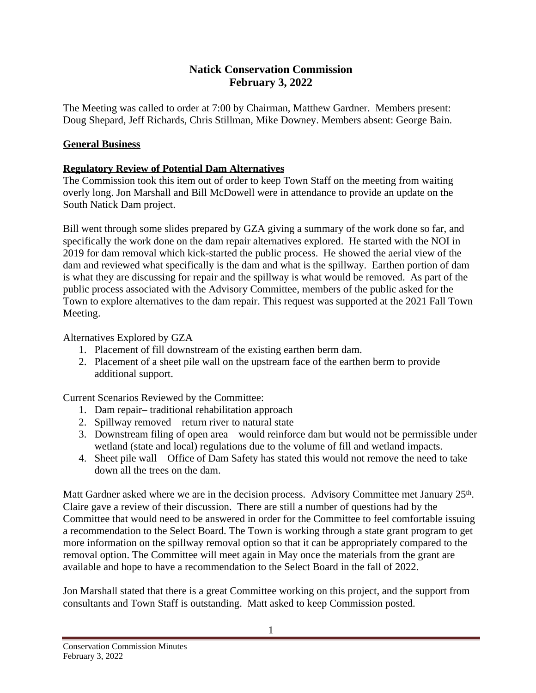## **Natick Conservation Commission February 3, 2022**

The Meeting was called to order at 7:00 by Chairman, Matthew Gardner. Members present: Doug Shepard, Jeff Richards, Chris Stillman, Mike Downey. Members absent: George Bain.

## **General Business**

## **Regulatory Review of Potential Dam Alternatives**

The Commission took this item out of order to keep Town Staff on the meeting from waiting overly long. Jon Marshall and Bill McDowell were in attendance to provide an update on the South Natick Dam project.

Bill went through some slides prepared by GZA giving a summary of the work done so far, and specifically the work done on the dam repair alternatives explored. He started with the NOI in 2019 for dam removal which kick-started the public process. He showed the aerial view of the dam and reviewed what specifically is the dam and what is the spillway. Earthen portion of dam is what they are discussing for repair and the spillway is what would be removed. As part of the public process associated with the Advisory Committee, members of the public asked for the Town to explore alternatives to the dam repair. This request was supported at the 2021 Fall Town Meeting.

Alternatives Explored by GZA

- 1. Placement of fill downstream of the existing earthen berm dam.
- 2. Placement of a sheet pile wall on the upstream face of the earthen berm to provide additional support.

Current Scenarios Reviewed by the Committee:

- 1. Dam repair– traditional rehabilitation approach
- 2. Spillway removed return river to natural state
- 3. Downstream filing of open area would reinforce dam but would not be permissible under wetland (state and local) regulations due to the volume of fill and wetland impacts.
- 4. Sheet pile wall Office of Dam Safety has stated this would not remove the need to take down all the trees on the dam.

Matt Gardner asked where we are in the decision process. Advisory Committee met January 25<sup>th</sup>. Claire gave a review of their discussion. There are still a number of questions had by the Committee that would need to be answered in order for the Committee to feel comfortable issuing a recommendation to the Select Board. The Town is working through a state grant program to get more information on the spillway removal option so that it can be appropriately compared to the removal option. The Committee will meet again in May once the materials from the grant are available and hope to have a recommendation to the Select Board in the fall of 2022.

Jon Marshall stated that there is a great Committee working on this project, and the support from consultants and Town Staff is outstanding. Matt asked to keep Commission posted.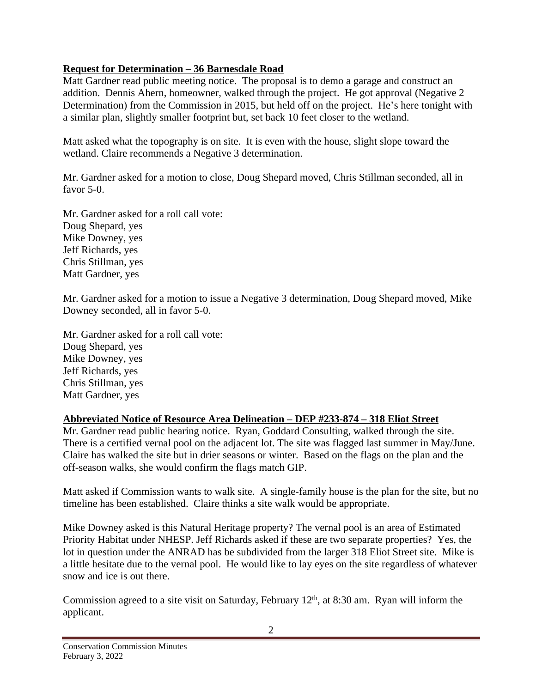## **Request for Determination – 36 Barnesdale Road**

Matt Gardner read public meeting notice. The proposal is to demo a garage and construct an addition. Dennis Ahern, homeowner, walked through the project. He got approval (Negative 2 Determination) from the Commission in 2015, but held off on the project. He's here tonight with a similar plan, slightly smaller footprint but, set back 10 feet closer to the wetland.

Matt asked what the topography is on site. It is even with the house, slight slope toward the wetland. Claire recommends a Negative 3 determination.

Mr. Gardner asked for a motion to close, Doug Shepard moved, Chris Stillman seconded, all in favor 5-0.

Mr. Gardner asked for a roll call vote: Doug Shepard, yes Mike Downey, yes Jeff Richards, yes Chris Stillman, yes Matt Gardner, yes

Mr. Gardner asked for a motion to issue a Negative 3 determination, Doug Shepard moved, Mike Downey seconded, all in favor 5-0.

Mr. Gardner asked for a roll call vote: Doug Shepard, yes Mike Downey, yes Jeff Richards, yes Chris Stillman, yes Matt Gardner, yes

# **Abbreviated Notice of Resource Area Delineation – DEP #233-874 – 318 Eliot Street**

Mr. Gardner read public hearing notice. Ryan, Goddard Consulting, walked through the site. There is a certified vernal pool on the adjacent lot. The site was flagged last summer in May/June. Claire has walked the site but in drier seasons or winter. Based on the flags on the plan and the off-season walks, she would confirm the flags match GIP.

Matt asked if Commission wants to walk site. A single-family house is the plan for the site, but no timeline has been established. Claire thinks a site walk would be appropriate.

Mike Downey asked is this Natural Heritage property? The vernal pool is an area of Estimated Priority Habitat under NHESP. Jeff Richards asked if these are two separate properties? Yes, the lot in question under the ANRAD has be subdivided from the larger 318 Eliot Street site. Mike is a little hesitate due to the vernal pool. He would like to lay eyes on the site regardless of whatever snow and ice is out there.

Commission agreed to a site visit on Saturday, February  $12<sup>th</sup>$ , at 8:30 am. Ryan will inform the applicant.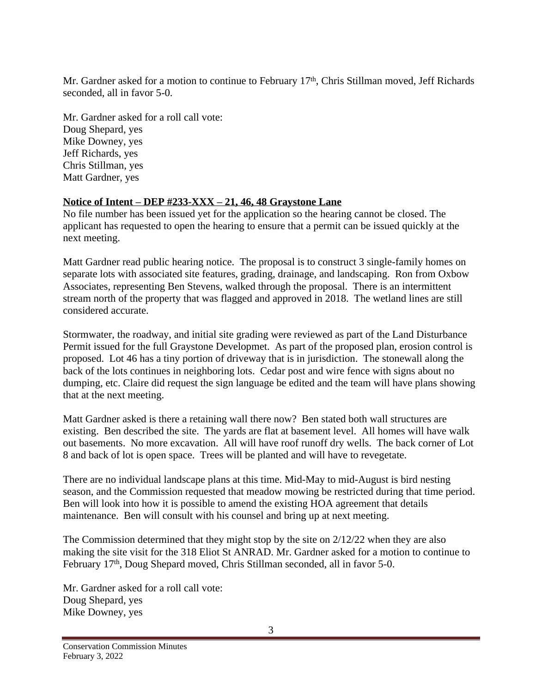Mr. Gardner asked for a motion to continue to February 17<sup>th</sup>, Chris Stillman moved, Jeff Richards seconded, all in favor 5-0.

Mr. Gardner asked for a roll call vote: Doug Shepard, yes Mike Downey, yes Jeff Richards, yes Chris Stillman, yes Matt Gardner, yes

### **Notice of Intent – DEP #233-XXX – 21, 46, 48 Graystone Lane**

No file number has been issued yet for the application so the hearing cannot be closed. The applicant has requested to open the hearing to ensure that a permit can be issued quickly at the next meeting.

Matt Gardner read public hearing notice. The proposal is to construct 3 single-family homes on separate lots with associated site features, grading, drainage, and landscaping. Ron from Oxbow Associates, representing Ben Stevens, walked through the proposal. There is an intermittent stream north of the property that was flagged and approved in 2018. The wetland lines are still considered accurate.

Stormwater, the roadway, and initial site grading were reviewed as part of the Land Disturbance Permit issued for the full Graystone Developmet. As part of the proposed plan, erosion control is proposed. Lot 46 has a tiny portion of driveway that is in jurisdiction. The stonewall along the back of the lots continues in neighboring lots. Cedar post and wire fence with signs about no dumping, etc. Claire did request the sign language be edited and the team will have plans showing that at the next meeting.

Matt Gardner asked is there a retaining wall there now? Ben stated both wall structures are existing. Ben described the site. The yards are flat at basement level. All homes will have walk out basements. No more excavation. All will have roof runoff dry wells. The back corner of Lot 8 and back of lot is open space. Trees will be planted and will have to revegetate.

There are no individual landscape plans at this time. Mid-May to mid-August is bird nesting season, and the Commission requested that meadow mowing be restricted during that time period. Ben will look into how it is possible to amend the existing HOA agreement that details maintenance. Ben will consult with his counsel and bring up at next meeting.

The Commission determined that they might stop by the site on 2/12/22 when they are also making the site visit for the 318 Eliot St ANRAD. Mr. Gardner asked for a motion to continue to February 17<sup>th</sup>, Doug Shepard moved, Chris Stillman seconded, all in favor 5-0.

Mr. Gardner asked for a roll call vote: Doug Shepard, yes Mike Downey, yes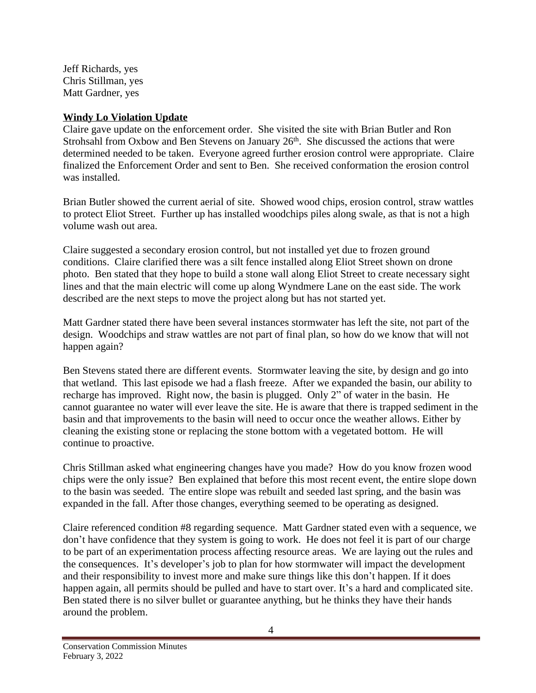Jeff Richards, yes Chris Stillman, yes Matt Gardner, yes

### **Windy Lo Violation Update**

Claire gave update on the enforcement order. She visited the site with Brian Butler and Ron Strohsahl from Oxbow and Ben Stevens on January 26<sup>th</sup>. She discussed the actions that were determined needed to be taken. Everyone agreed further erosion control were appropriate. Claire finalized the Enforcement Order and sent to Ben. She received conformation the erosion control was installed.

Brian Butler showed the current aerial of site. Showed wood chips, erosion control, straw wattles to protect Eliot Street. Further up has installed woodchips piles along swale, as that is not a high volume wash out area.

Claire suggested a secondary erosion control, but not installed yet due to frozen ground conditions. Claire clarified there was a silt fence installed along Eliot Street shown on drone photo. Ben stated that they hope to build a stone wall along Eliot Street to create necessary sight lines and that the main electric will come up along Wyndmere Lane on the east side. The work described are the next steps to move the project along but has not started yet.

Matt Gardner stated there have been several instances stormwater has left the site, not part of the design. Woodchips and straw wattles are not part of final plan, so how do we know that will not happen again?

Ben Stevens stated there are different events. Stormwater leaving the site, by design and go into that wetland. This last episode we had a flash freeze. After we expanded the basin, our ability to recharge has improved. Right now, the basin is plugged. Only 2" of water in the basin. He cannot guarantee no water will ever leave the site. He is aware that there is trapped sediment in the basin and that improvements to the basin will need to occur once the weather allows. Either by cleaning the existing stone or replacing the stone bottom with a vegetated bottom. He will continue to proactive.

Chris Stillman asked what engineering changes have you made? How do you know frozen wood chips were the only issue? Ben explained that before this most recent event, the entire slope down to the basin was seeded. The entire slope was rebuilt and seeded last spring, and the basin was expanded in the fall. After those changes, everything seemed to be operating as designed.

Claire referenced condition #8 regarding sequence. Matt Gardner stated even with a sequence, we don't have confidence that they system is going to work. He does not feel it is part of our charge to be part of an experimentation process affecting resource areas. We are laying out the rules and the consequences. It's developer's job to plan for how stormwater will impact the development and their responsibility to invest more and make sure things like this don't happen. If it does happen again, all permits should be pulled and have to start over. It's a hard and complicated site. Ben stated there is no silver bullet or guarantee anything, but he thinks they have their hands around the problem.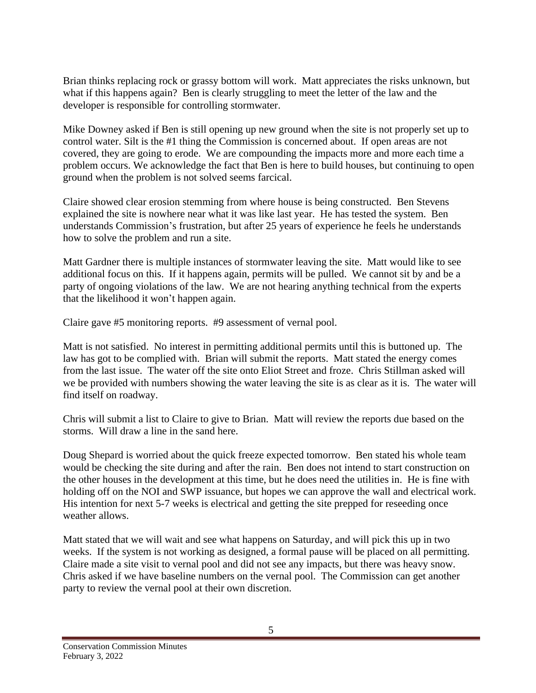Brian thinks replacing rock or grassy bottom will work. Matt appreciates the risks unknown, but what if this happens again? Ben is clearly struggling to meet the letter of the law and the developer is responsible for controlling stormwater.

Mike Downey asked if Ben is still opening up new ground when the site is not properly set up to control water. Silt is the #1 thing the Commission is concerned about. If open areas are not covered, they are going to erode. We are compounding the impacts more and more each time a problem occurs. We acknowledge the fact that Ben is here to build houses, but continuing to open ground when the problem is not solved seems farcical.

Claire showed clear erosion stemming from where house is being constructed. Ben Stevens explained the site is nowhere near what it was like last year. He has tested the system. Ben understands Commission's frustration, but after 25 years of experience he feels he understands how to solve the problem and run a site.

Matt Gardner there is multiple instances of stormwater leaving the site. Matt would like to see additional focus on this. If it happens again, permits will be pulled. We cannot sit by and be a party of ongoing violations of the law. We are not hearing anything technical from the experts that the likelihood it won't happen again.

Claire gave #5 monitoring reports. #9 assessment of vernal pool.

Matt is not satisfied. No interest in permitting additional permits until this is buttoned up. The law has got to be complied with. Brian will submit the reports. Matt stated the energy comes from the last issue. The water off the site onto Eliot Street and froze. Chris Stillman asked will we be provided with numbers showing the water leaving the site is as clear as it is. The water will find itself on roadway.

Chris will submit a list to Claire to give to Brian. Matt will review the reports due based on the storms. Will draw a line in the sand here.

Doug Shepard is worried about the quick freeze expected tomorrow. Ben stated his whole team would be checking the site during and after the rain. Ben does not intend to start construction on the other houses in the development at this time, but he does need the utilities in. He is fine with holding off on the NOI and SWP issuance, but hopes we can approve the wall and electrical work. His intention for next 5-7 weeks is electrical and getting the site prepped for reseeding once weather allows.

Matt stated that we will wait and see what happens on Saturday, and will pick this up in two weeks. If the system is not working as designed, a formal pause will be placed on all permitting. Claire made a site visit to vernal pool and did not see any impacts, but there was heavy snow. Chris asked if we have baseline numbers on the vernal pool. The Commission can get another party to review the vernal pool at their own discretion.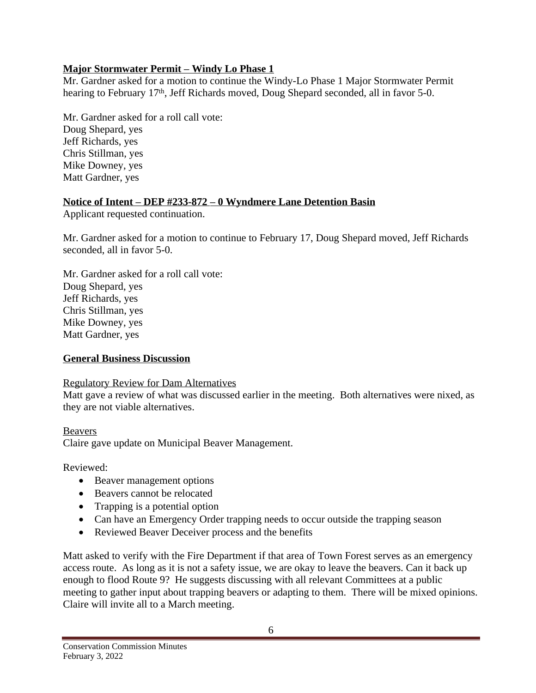## **Major Stormwater Permit – Windy Lo Phase 1**

Mr. Gardner asked for a motion to continue the Windy-Lo Phase 1 Major Stormwater Permit hearing to February 17<sup>th</sup>, Jeff Richards moved, Doug Shepard seconded, all in favor 5-0.

Mr. Gardner asked for a roll call vote: Doug Shepard, yes Jeff Richards, yes Chris Stillman, yes Mike Downey, yes Matt Gardner, yes

## **Notice of Intent – DEP #233-872 – 0 Wyndmere Lane Detention Basin**

Applicant requested continuation.

Mr. Gardner asked for a motion to continue to February 17, Doug Shepard moved, Jeff Richards seconded, all in favor 5-0.

Mr. Gardner asked for a roll call vote: Doug Shepard, yes Jeff Richards, yes Chris Stillman, yes Mike Downey, yes Matt Gardner, yes

# **General Business Discussion**

### Regulatory Review for Dam Alternatives

Matt gave a review of what was discussed earlier in the meeting. Both alternatives were nixed, as they are not viable alternatives.

# Beavers

Claire gave update on Municipal Beaver Management.

Reviewed:

- Beaver management options
- Beavers cannot be relocated
- Trapping is a potential option
- Can have an Emergency Order trapping needs to occur outside the trapping season
- Reviewed Beaver Deceiver process and the benefits

Matt asked to verify with the Fire Department if that area of Town Forest serves as an emergency access route. As long as it is not a safety issue, we are okay to leave the beavers. Can it back up enough to flood Route 9? He suggests discussing with all relevant Committees at a public meeting to gather input about trapping beavers or adapting to them. There will be mixed opinions. Claire will invite all to a March meeting.